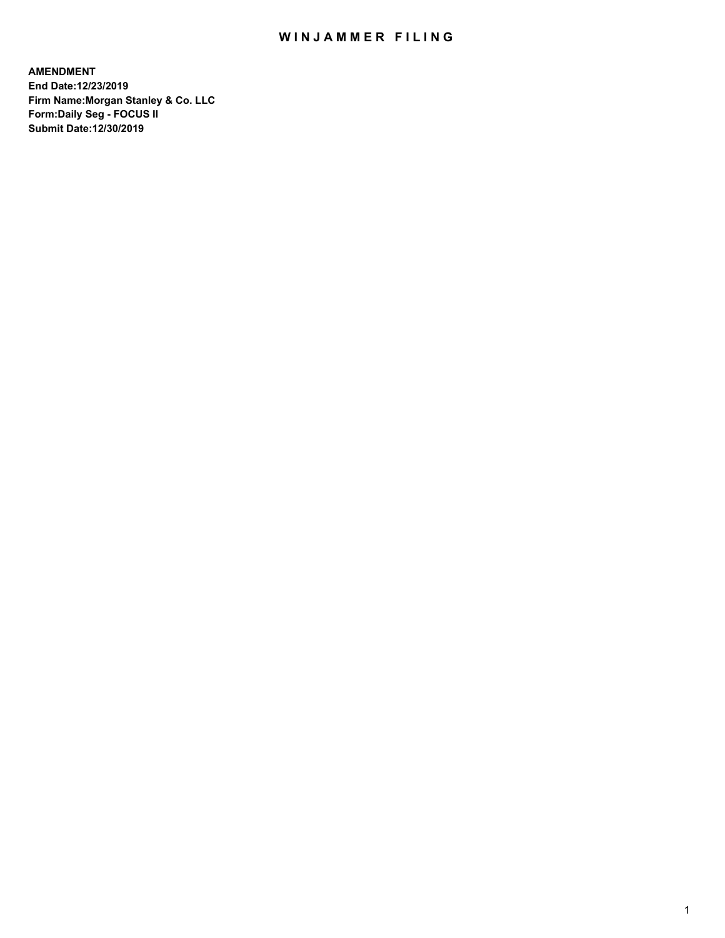### WIN JAMMER FILING

**AMENDMENT End Date:12/23/2019 Firm Name:Morgan Stanley & Co. LLC Form:Daily Seg - FOCUS II Submit Date:12/30/2019**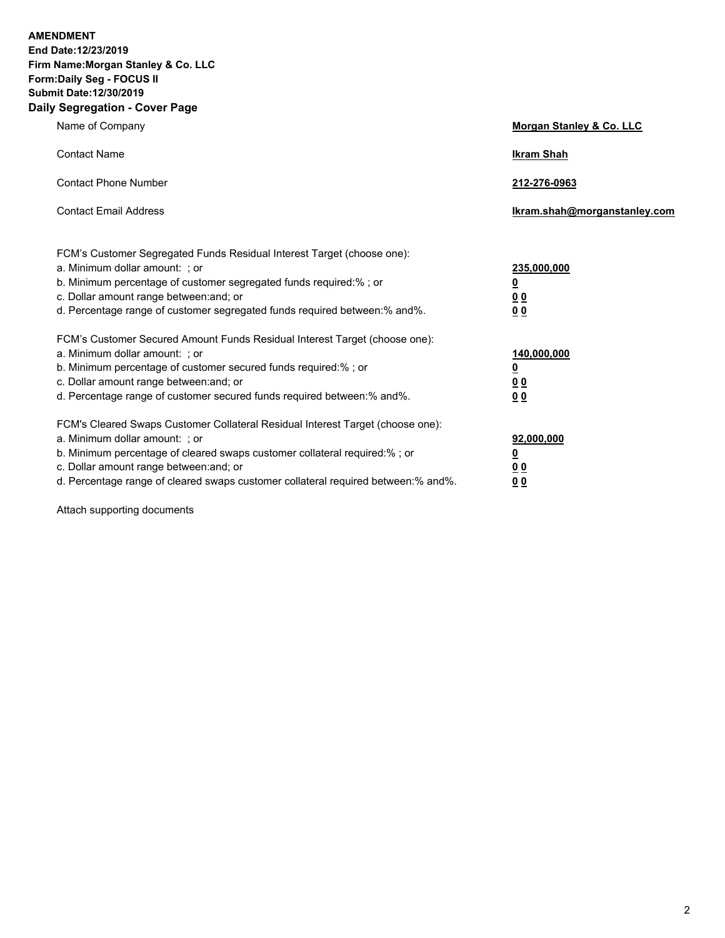**AMENDMENT End Date:12/23/2019** 

**Firm Name:Morgan Stanley & Co. LLC Form:Daily Seg - FOCUS II Submit Date:12/30/2019 Daily Segregation - Cover Page**

| $0091090001 - 00101 - 090$                                                          |                              |  |  |
|-------------------------------------------------------------------------------------|------------------------------|--|--|
| Name of Company                                                                     | Morgan Stanley & Co. LLC     |  |  |
| <b>Contact Name</b>                                                                 | <b>Ikram Shah</b>            |  |  |
| <b>Contact Phone Number</b>                                                         | 212-276-0963                 |  |  |
| <b>Contact Email Address</b>                                                        | Ikram.shah@morganstanley.com |  |  |
| FCM's Customer Segregated Funds Residual Interest Target (choose one):              |                              |  |  |
| a. Minimum dollar amount: ; or                                                      | 235,000,000                  |  |  |
| b. Minimum percentage of customer segregated funds required:% ; or                  | <u>0</u>                     |  |  |
| c. Dollar amount range between: and; or                                             | <u>00</u>                    |  |  |
| d. Percentage range of customer segregated funds required between:% and%.           | 0 <sub>0</sub>               |  |  |
| FCM's Customer Secured Amount Funds Residual Interest Target (choose one):          |                              |  |  |
| a. Minimum dollar amount: ; or                                                      | 140,000,000                  |  |  |
| b. Minimum percentage of customer secured funds required:%; or                      | <u>0</u>                     |  |  |
| c. Dollar amount range between: and; or                                             | <u>00</u>                    |  |  |
| d. Percentage range of customer secured funds required between:% and%.              | 0 Q                          |  |  |
| FCM's Cleared Swaps Customer Collateral Residual Interest Target (choose one):      |                              |  |  |
| a. Minimum dollar amount: ; or                                                      | 92,000,000                   |  |  |
| b. Minimum percentage of cleared swaps customer collateral required:% ; or          | <u>0</u>                     |  |  |
| c. Dollar amount range between: and; or                                             | <u>00</u>                    |  |  |
| d. Percentage range of cleared swaps customer collateral required between: % and %. | 0 <sub>0</sub>               |  |  |

Attach supporting documents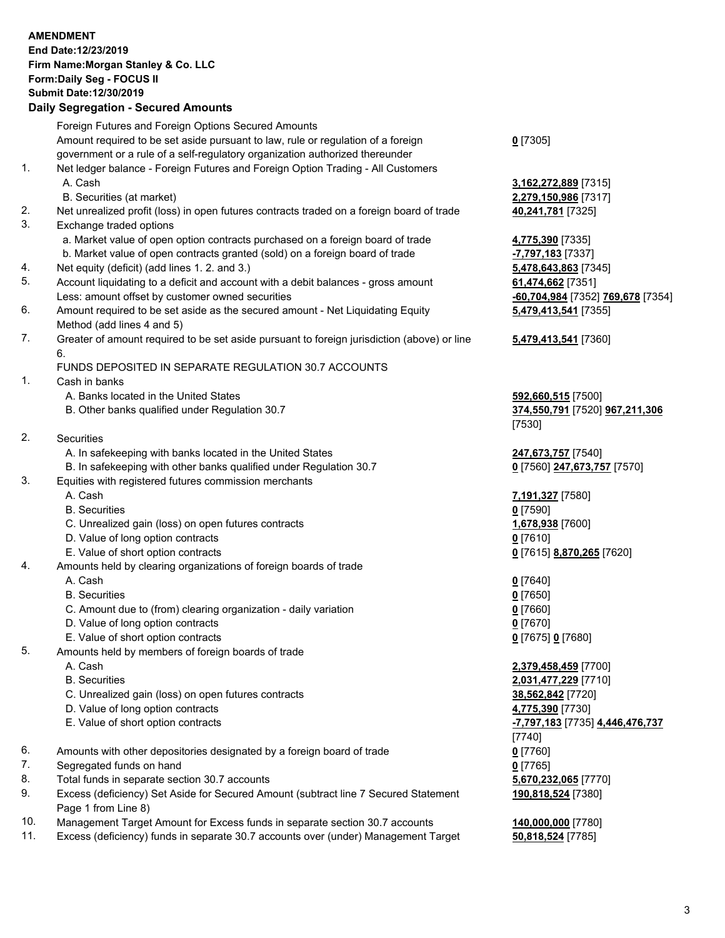#### **AMENDMENT End Date:12/23/2019 Firm Name:Morgan Stanley & Co. LLC Form:Daily Seg - FOCUS II**

# **Submit Date:12/30/2019**

# **Daily Segregation - Secured Amounts**

Foreign Futures and Foreign Options Secured Amounts Amount required to be set aside pursuant to law, rule or regulation of a foreign government or a rule of a self-regulatory organization authorized thereunder 1. Net ledger balance - Foreign Futures and Foreign Option Trading - All Customers A. Cash **3,162,272,889** [7315] B. Securities (at market) **2,279,150,986** [7317] 2. Net unrealized profit (loss) in open futures contracts traded on a foreign board of trade **40,241,781** [7325] 3. Exchange traded options a. Market value of open option contracts purchased on a foreign board of trade **4,775,390** [7335] b. Market value of open contracts granted (sold) on a foreign board of trade **-7,797,183** [7337] 4. Net equity (deficit) (add lines 1. 2. and 3.) **5,478,643,863** [7345] 5. Account liquidating to a deficit and account with a debit balances - gross amount **61,474,662** [7351] Less: amount offset by customer owned securities **-60,704,984** [7352] **769,678** [7354] 6. Amount required to be set aside as the secured amount - Net Liquidating Equity Method (add lines 4 and 5) 7. Greater of amount required to be set aside pursuant to foreign jurisdiction (above) or line 6. FUNDS DEPOSITED IN SEPARATE REGULATION 30.7 ACCOUNTS 1. Cash in banks A. Banks located in the United States **592,660,515** [7500] B. Other banks qualified under Regulation 30.7 **374,550,791** [7520] **967,211,306** 2. Securities A. In safekeeping with banks located in the United States **247,673,757** [7540] B. In safekeeping with other banks qualified under Regulation 30.7 **0** [7560] **247,673,757** [7570] 3. Equities with registered futures commission merchants A. Cash **7,191,327** [7580] B. Securities **0** [7590] C. Unrealized gain (loss) on open futures contracts **1,678,938** [7600] D. Value of long option contracts **0** [7610] E. Value of short option contracts **0** [7615] **8,870,265** [7620] 4. Amounts held by clearing organizations of foreign boards of trade A. Cash **0** [7640] B. Securities **0** [7650] C. Amount due to (from) clearing organization - daily variation **0** [7660] D. Value of long option contracts **0** [7670] E. Value of short option contracts **0** [7675] **0** [7680] 5. Amounts held by members of foreign boards of trade A. Cash **2,379,458,459** [7700] B. Securities **2,031,477,229** [7710] C. Unrealized gain (loss) on open futures contracts **38,562,842** [7720] D. Value of long option contracts **4,775,390** [7730] E. Value of short option contracts **-7,797,183** [7735] **4,446,476,737** 6. Amounts with other depositories designated by a foreign board of trade **0** [7760] 7. Segregated funds on hand **0** [7765] 8. Total funds in separate section 30.7 accounts **5,670,232,065** [7770]

9. Excess (deficiency) Set Aside for Secured Amount (subtract line 7 Secured Statement Page 1 from Line 8)

- 10. Management Target Amount for Excess funds in separate section 30.7 accounts **140,000,000** [7780]
- 11. Excess (deficiency) funds in separate 30.7 accounts over (under) Management Target **50,818,524** [7785]

**0** [7305]

**5,479,413,541** [7355]

## **5,479,413,541** [7360]

[7530]

[7740] **190,818,524** [7380]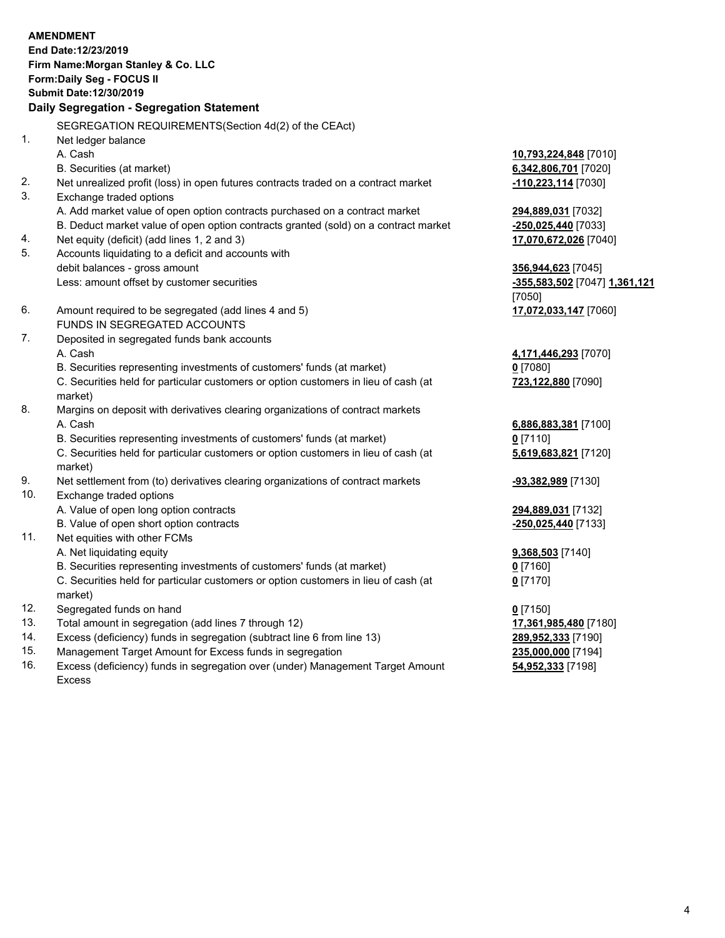#### **AMENDMENT End Date:12/23/2019 Firm Name:Morgan Stanley & Co. LLC Form:Daily Seg - FOCUS II Submit Date:12/30/2019 Daily Segregation - Segregation Statement** SEGREGATION REQUIREMENTS(Section 4d(2) of the CEAct) 1. Net ledger balance A. Cash **10,793,224,848** [7010] B. Securities (at market) **6,342,806,701** [7020] 2. Net unrealized profit (loss) in open futures contracts traded on a contract market **-110,223,114** [7030] 3. Exchange traded options A. Add market value of open option contracts purchased on a contract market **294,889,031** [7032] B. Deduct market value of open option contracts granted (sold) on a contract market **-250,025,440** [7033] 4. Net equity (deficit) (add lines 1, 2 and 3) **17,070,672,026** [7040] 5. Accounts liquidating to a deficit and accounts with debit balances - gross amount **356,944,623** [7045] Less: amount offset by customer securities **-355,583,502** [7047] **1,361,121** [7050] 6. Amount required to be segregated (add lines 4 and 5) **17,072,033,147** [7060] FUNDS IN SEGREGATED ACCOUNTS 7. Deposited in segregated funds bank accounts A. Cash **4,171,446,293** [7070] B. Securities representing investments of customers' funds (at market) **0** [7080] C. Securities held for particular customers or option customers in lieu of cash (at market) **723,122,880** [7090] 8. Margins on deposit with derivatives clearing organizations of contract markets A. Cash **6,886,883,381** [7100] B. Securities representing investments of customers' funds (at market) **0** [7110] C. Securities held for particular customers or option customers in lieu of cash (at market) **5,619,683,821** [7120] 9. Net settlement from (to) derivatives clearing organizations of contract markets **-93,382,989** [7130] 10. Exchange traded options A. Value of open long option contracts **294,889,031** [7132] B. Value of open short option contracts **-250,025,440** [7133] 11. Net equities with other FCMs A. Net liquidating equity **9,368,503** [7140] B. Securities representing investments of customers' funds (at market) **0** [7160] C. Securities held for particular customers or option customers in lieu of cash (at market) **0** [7170]

- 12. Segregated funds on hand **0** [7150]
- 13. Total amount in segregation (add lines 7 through 12) **17,361,985,480** [7180]
- 14. Excess (deficiency) funds in segregation (subtract line 6 from line 13) **289,952,333** [7190]
- 15. Management Target Amount for Excess funds in segregation **235,000,000** [7194]
- 16. Excess (deficiency) funds in segregation over (under) Management Target Amount Excess

**54,952,333** [7198]